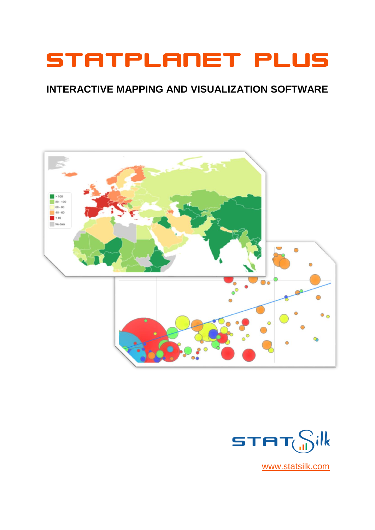# STATPLANET PLUS

### **INTERACTIVE MAPPING AND VISUALIZATION SOFTWARE**





[www.statsilk.com](http://www.statsilk.com/)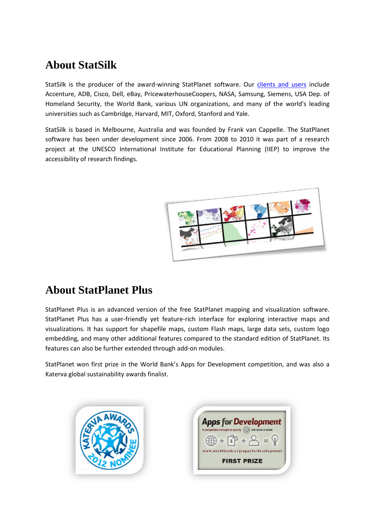# **About StatSilk**

StatSilk is the producer of the award-winning StatPlanet software. Our [clients and users](http://www.statsilk.com/about/clients) include Accenture, ADB, Cisco, Dell, eBay, PricewaterhouseCoopers, NASA, Samsung, Siemens, USA Dep. of Homeland Security, the World Bank, various UN organizations, and many of the world's leading universities such as Cambridge, Harvard, MIT, Oxford, Stanford and Yale.

StatSilk is based in Melbourne, Australia and was founded by Frank van Cappelle. The StatPlanet software has been under development since 2006. From 2008 to 2010 it was part of a research project at the UNESCO International Institute for Educational Planning (IIEP) to improve the accessibility of research findings.



### **About StatPlanet Plus**

StatPlanet Plus is an advanced version of the free StatPlanet mapping and visualization software. StatPlanet Plus has a user-friendly yet feature-rich interface for exploring interactive maps and visualizations. It has support for shapefile maps, custom Flash maps, large data sets, custom logo embedding, and many other additional features compared to the standard edition of StatPlanet. Its features can also be further extended through add-on modules.

StatPlanet won first prize in the World Bank's Apps for Development competition, and was also a Katerva global sustainability awards finalist.

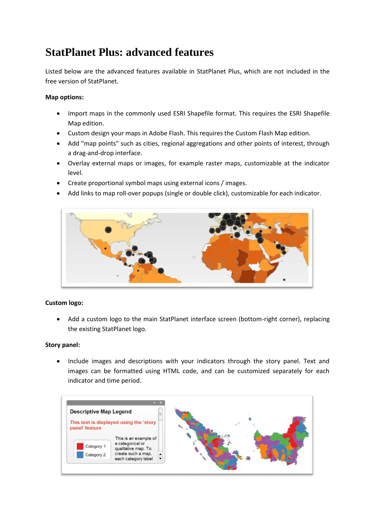# **StatPlanet Plus: advanced features**

Listed below are the advanced features available in StatPlanet Plus, which are not included in the free version of StatPlanet.

#### **Map options:**

- Import maps in the commonly used ESRI Shapefile format. This requires the ESRI Shapefile Map edition.
- Custom design your maps in Adobe Flash. This requires the Custom Flash Map edition.
- Add "map points" such as cities, regional aggregations and other points of interest, through a drag-and-drop interface.
- Overlay external maps or images, for example raster maps, customizable at the indicator level.
- Create proportional symbol maps using external icons / images.
- Add links to map roll-over popups (single or double click), customizable for each indicator.



#### **Custom logo:**

 Add a custom logo to the main StatPlanet interface screen (bottom-right corner), replacing the existing StatPlanet logo.

#### **Story panel:**

• Include images and descriptions with your indicators through the story panel. Text and images can be formatted using HTML code, and can be customized separately for each indicator and time period.

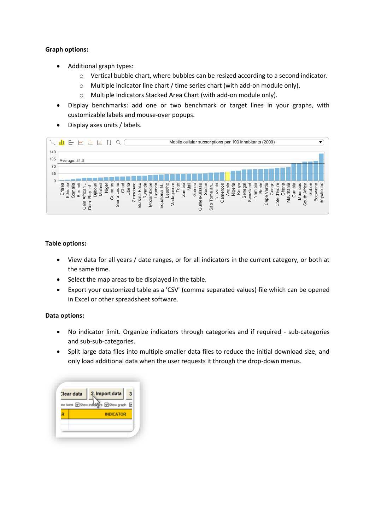#### **Graph options:**

- Additional graph types:
	- o Vertical bubble chart, where bubbles can be resized according to a second indicator.
	- o Multiple indicator line chart / time series chart (with add-on module only).
	- o Multiple Indicators Stacked Area Chart (with add-on module only).
- Display benchmarks: add one or two benchmark or target lines in your graphs, with customizable labels and mouse-over popups.
- Display axes units / labels.

| `o       | Mobile cellular subscriptions per 100 inhabitants (2009)<br>⋿<br>i ste<br>W<br>$\sim$                                                                                                                                                                                                                                                                                                                                                                                                                                                                                                                                                                                                                      |
|----------|------------------------------------------------------------------------------------------------------------------------------------------------------------------------------------------------------------------------------------------------------------------------------------------------------------------------------------------------------------------------------------------------------------------------------------------------------------------------------------------------------------------------------------------------------------------------------------------------------------------------------------------------------------------------------------------------------------|
| 140      |                                                                                                                                                                                                                                                                                                                                                                                                                                                                                                                                                                                                                                                                                                            |
| 105      | Average: 84.3                                                                                                                                                                                                                                                                                                                                                                                                                                                                                                                                                                                                                                                                                              |
| 70       |                                                                                                                                                                                                                                                                                                                                                                                                                                                                                                                                                                                                                                                                                                            |
| 35       |                                                                                                                                                                                                                                                                                                                                                                                                                                                                                                                                                                                                                                                                                                            |
| $\Omega$ | Jganda<br>Mauritania<br>Chad<br>anda<br>Mozambique<br>frica<br>ℼ<br>S<br>omoros<br>) ibout<br>iberia<br>esothc<br>Gambia<br><b>GSC</b><br>eloɓuy<br>d'Ivoire<br>Eritrea<br>Ethiopia<br>Somalia<br>√aii<br>inea<br>Verde<br>ritius<br><b>Malaw</b><br>eone<br>႕<br>ω<br>Burund<br>Madagasca<br>Nigeria<br>enegal<br>wazilanc<br>Zambia<br>viger<br>Namibia<br>Tanzania<br>Benir<br>ameroor<br>Sudar<br>IJ<br>$\frac{1}{2}$<br>abw<br>wan<br>Ghana<br>ㅎ<br>Bissa<br>ē<br>등<br>Keny<br>African<br>$\circ$<br>ŏ<br>ಕ<br>Equatorial<br>Rep.<br>3<br>Tomé<br>Seych<br>Mau<br>⋧<br>Zimb<br><b>Bots</b><br>Burkina<br>¢<br>Ō<br>Sierra<br>South<br>Guinea-<br>ôte<br>Ğ<br>$\omega$<br>Õ<br>Cent<br>Dem<br>São<br>O |

#### **Table options:**

- View data for all years / date ranges, or for all indicators in the current category, or both at the same time.
- Select the map areas to be displayed in the table.
- Export your customized table as a 'CSV' (comma separated values) file which can be opened in Excel or other spreadsheet software.

#### **Data options:**

- No indicator limit. Organize indicators through categories and if required sub-categories and sub-sub-categories.
- Split large data files into multiple smaller data files to reduce the initial download size, and only load additional data when the user requests it through the drop-down menus.

| Clear data |                            | 2. Import data   |   |  |
|------------|----------------------------|------------------|---|--|
|            | ow icons 3 Show indicators | Show graph       | ☞ |  |
|            |                            | <b>INDICATOR</b> |   |  |
|            |                            |                  |   |  |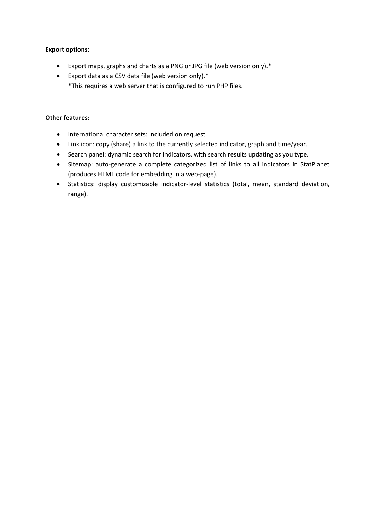#### **Export options:**

- Export maps, graphs and charts as a PNG or JPG file (web version only).\*
- Export data as a CSV data file (web version only).\* \*This requires a web server that is configured to run PHP files.

#### **Other features:**

- International character sets: included on request.
- Link icon: copy (share) a link to the currently selected indicator, graph and time/year.
- Search panel: dynamic search for indicators, with search results updating as you type.
- Sitemap: auto-generate a complete categorized list of links to all indicators in StatPlanet (produces HTML code for embedding in a web-page).
- Statistics: display customizable indicator-level statistics (total, mean, standard deviation, range).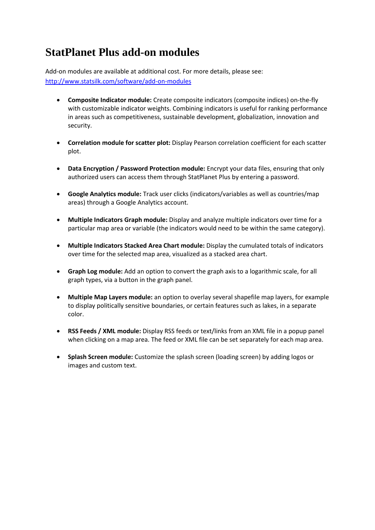# **StatPlanet Plus add-on modules**

Add-on modules are available at additional cost. For more details, please see: <http://www.statsilk.com/software/add-on-modules>

- **Composite Indicator module:** Create composite indicators (composite indices) on-the-fly with customizable indicator weights. Combining indicators is useful for ranking performance in areas such as competitiveness, sustainable development, globalization, innovation and security.
- **Correlation module for scatter plot:** Display Pearson correlation coefficient for each scatter plot.
- **Data Encryption / Password Protection module:** Encrypt your data files, ensuring that only authorized users can access them through StatPlanet Plus by entering a password.
- **Google Analytics module:** Track user clicks (indicators/variables as well as countries/map areas) through a Google Analytics account.
- **Multiple Indicators Graph module:** Display and analyze multiple indicators over time for a particular map area or variable (the indicators would need to be within the same category).
- **Multiple Indicators Stacked Area Chart module:** Display the cumulated totals of indicators over time for the selected map area, visualized as a stacked area chart.
- **Graph Log module:** Add an option to convert the graph axis to a logarithmic scale, for all graph types, via a button in the graph panel.
- **Multiple Map Layers module:** an option to overlay several shapefile map layers, for example to display politically sensitive boundaries, or certain features such as lakes, in a separate color.
- **RSS Feeds / XML module:** Display RSS feeds or text/links from an XML file in a popup panel when clicking on a map area. The feed or XML file can be set separately for each map area.
- **Splash Screen module:** Customize the splash screen (loading screen) by adding logos or images and custom text.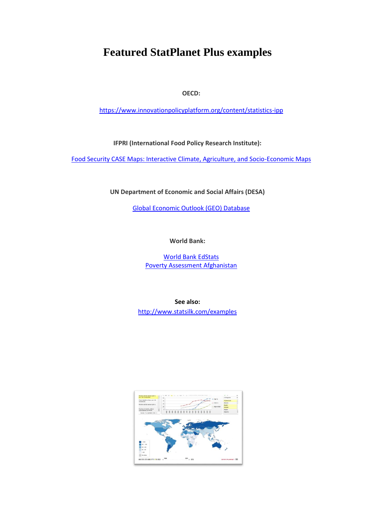### **Featured StatPlanet Plus examples**

**OECD:**

<https://www.innovationpolicyplatform.org/content/statistics-ipp>

**IFPRI (International Food Policy Research Institute):**

[Food Security CASE Maps: Interactive Climate, Agriculture, and Socio-Economic Maps](http://www.ifpri.org/book-775/ourwork/researcharea/climate-change/case-maps)

**UN Department of Economic and Social Affairs (DESA)**

[Global Economic Outlook \(GEO\) Database](http://www.un.org/en/development/desa/policy/proj_link/global_economic_outlook.shtml)

**World Bank:**

[World Bank EdStats](http://blogs.worldbank.org/education/node/647) [Poverty Assessment Afghanistan](http://siteresources.worldbank.org/AFGHANISTANEXTN/Resources/305984-1326909014678/8376871-1334700522455/StatPlanet.html)

**See also:** <http://www.statsilk.com/examples>

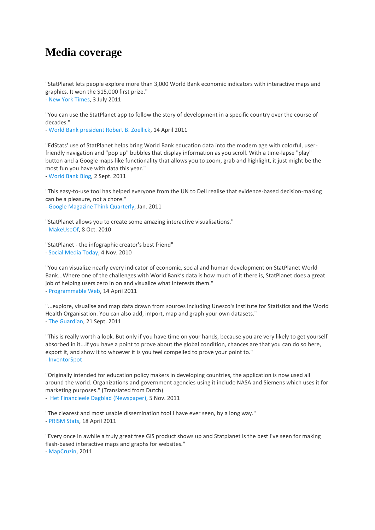### **Media coverage**

"StatPlanet lets people explore more than 3,000 World Bank economic indicators with interactive maps and graphics. It won the \$15,000 first prize."

- [New York Times,](http://www.nytimes.com/2011/07/03/business/global/03world.html?pagewanted=3) 3 July 2011

"You can use the StatPlanet app to follow the story of development in a specific country over the course of decades."

- [World Bank president Robert B. Zoellick,](http://wbi.worldbank.org/wbi/news/appsdev-winners-announced) 14 April 2011

"EdStats' use of StatPlanet helps bring World Bank education data into the modern age with colorful, userfriendly navigation and "pop up" bubbles that display information as you scroll. With a time-lapse "play" button and a Google maps-like functionality that allows you to zoom, grab and highlight, it just might be the most fun you have with data this year."

- [World Bank Blog,](http://blogs.worldbank.org/education/node/647) 2 Sept. 2011

"This easy-to-use tool has helped everyone from the UN to Dell realise that evidence-based decision-making can be a pleasure, not a chore."

- [Google Magazine Think Quarterly,](http://www.thinkwithgoogle.co.uk/quarterly/data/developing-world-data-for-change.html) Jan. 2011

"StatPlanet allows you to create some amazing interactive visualisations." - [MakeUseOf,](http://www.makeuseof.com/tag/awesome-free-tools-infographics/) 8 Oct. 2010

"StatPlanet - the infographic creator's best friend" - [Social Media Today,](http://socialmediatoday.com/adamvincenzini/231259/11-twitter-social-media-tools-try-2011) 4 Nov. 2010

"You can visualize nearly every indicator of economic, social and human development on StatPlanet World Bank...Where one of the challenges with World Bank's data is how much of it there is, StatPlanet does a great job of helping users zero in on and visualize what interests them." - [Programmable Web,](http://blog.programmableweb.com/2011/04/14/global-data-visualization-platform-nabs-top-world-bank-prize/) 14 April 2011

"...explore, visualise and map data drawn from sources including Unesco's Institute for Statistics and the World Health Organisation. You can also add, import, map and graph your own datasets." - [The Guardian,](http://www.guardian.co.uk/global-development/2011/sep/21/students-resources-guide-development-data) 21 Sept. 2011

"This is really worth a look. But only if you have time on your hands, because you are very likely to get yourself absorbed in it...If you have a point to prove about the global condition, chances are that you can do so here, export it, and show it to whoever it is you feel compelled to prove your point to." - [InventorSpot](http://inventorspot.com/articles/plan_it_chart_world_statplanet)

"Originally intended for education policy makers in developing countries, the application is now used all around the world. Organizations and government agencies using it include NASA and Siemens which uses it for marketing purposes." (Translated from Dutch)

- [Het Financieele Dagblad \(Newspaper\),](http://www.verbeterdebuurt.nl/blog/wp-content/uploads/2011/11/FD-Open-Data-5-november-2011.pdf) 5 Nov. 2011

"The clearest and most usable dissemination tool I have ever seen, by a long way." - [PRISM Stats,](http://twitter.com/#!/prismstats/status/59822566910603265) 18 April 2011

"Every once in awhile a truly great free GIS product shows up and Statplanet is the best I've seen for making flash-based interactive maps and graphs for websites."

- [MapCruzin,](http://www.mapcruzin.com/flashmaps/statplanet-interactive-webmaps.htm) 2011